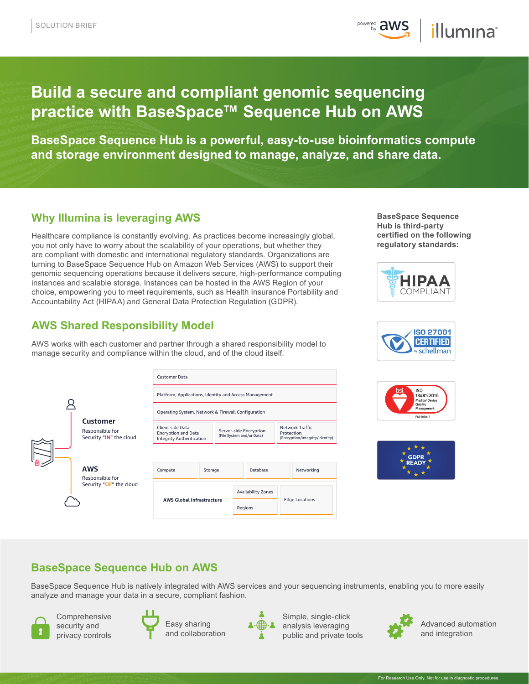**POWEred aws** illumina®

# **Build a secure and compliant genomic sequencing practice with BaseSpace™ Sequence Hub on AWS**

**BaseSpace Sequence Hub is a powerful, easy-to-use bioinformatics compute and storage environment designed to manage, analyze, and share data.**

# **Why Illumina is leveraging AWS**

Healthcare compliance is constantly evolving. As practices become increasingly global, you not only have to worry about the scalability of your operations, but whether they are compliant with domestic and international regulatory standards. Organizations are turning to BaseSpace Sequence Hub on Amazon Web Services (AWS) to support their genomic sequencing operations because it delivers secure, high-performance computing instances and scalable storage. Instances can be hosted in the AWS Region of your choice, empowering you to meet requirements, such as Health Insurance Portability and Accountability Act (HIPAA) and General Data Protection Regulation (GDPR).

# **AWS Shared Responsibility Model**

AWS works with each customer and partner through a shared responsibility model to manage security and compliance within the cloud, and of the cloud itself.













# **BaseSpace Sequence Hub on AWS**

BaseSpace Sequence Hub is natively integrated with AWS services and your sequencing instruments, enabling you to more easily analyze and manage your data in a secure, compliant fashion.



Comprehensive security and privacy controls



Easy sharing and collaboration



Simple, single-click analysis leveraging public and private tools



Advanced automation and integration